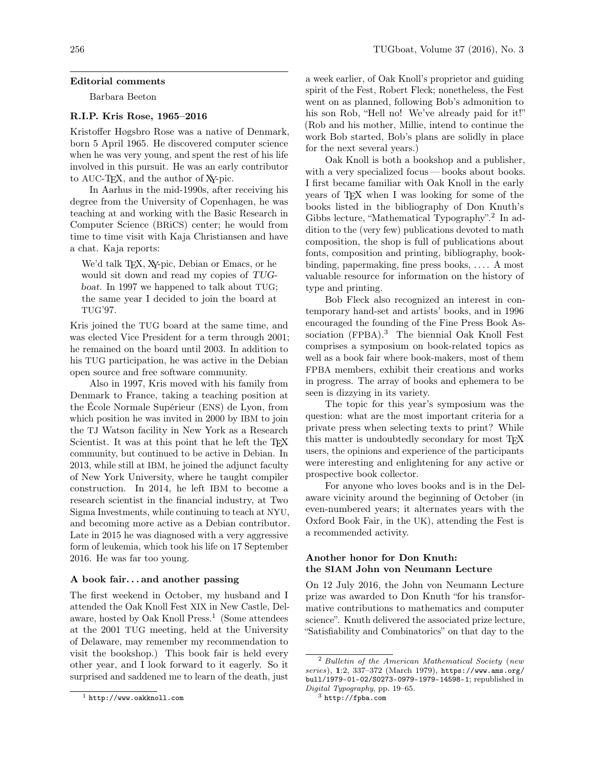#### Editorial comments

Barbara Beeton

# R.I.P. Kris Rose, 1965–2016

Kristoffer Høgsbro Rose was a native of Denmark, born 5 April 1965. He discovered computer science when he was very young, and spent the rest of his life involved in this pursuit. He was an early contributor to AUC-TEX, and the author of XY-pic.

In Aarhus in the mid-1990s, after receiving his degree from the University of Copenhagen, he was teaching at and working with the Basic Research in Computer Science (BRiCS) center; he would from time to time visit with Kaja Christiansen and have a chat. Kaja reports:

We'd talk T<sub>F</sub>X, X<sub>Y</sub>-pic, Debian or Emacs, or he would sit down and read my copies of TUGboat. In 1997 we happened to talk about TUG; the same year I decided to join the board at TUG'97.

Kris joined the TUG board at the same time, and was elected Vice President for a term through 2001; he remained on the board until 2003. In addition to his TUG participation, he was active in the Debian open source and free software community.

Also in 1997, Kris moved with his family from Denmark to France, taking a teaching position at the École Normale Supérieur (ENS) de Lyon, from which position he was invited in 2000 by IBM to join the TJ Watson facility in New York as a Research Scientist. It was at this point that he left the TFX community, but continued to be active in Debian. In 2013, while still at IBM, he joined the adjunct faculty of New York University, where he taught compiler construction. In 2014, he left IBM to become a research scientist in the financial industry, at Two Sigma Investments, while continuing to teach at NYU, and becoming more active as a Debian contributor. Late in 2015 he was diagnosed with a very aggressive form of leukemia, which took his life on 17 September 2016. He was far too young.

#### A book fair. . . and another passing

The first weekend in October, my husband and I attended the Oak Knoll Fest XIX in New Castle, Delaware, hosted by Oak Knoll Press.<sup>1</sup> (Some attendees at the 2001 TUG meeting, held at the University of Delaware, may remember my recommendation to visit the bookshop.) This book fair is held every other year, and I look forward to it eagerly. So it surprised and saddened me to learn of the death, just

a week earlier, of Oak Knoll's proprietor and guiding spirit of the Fest, Robert Fleck; nonetheless, the Fest went on as planned, following Bob's admonition to his son Rob, "Hell no! We've already paid for it!" (Rob and his mother, Millie, intend to continue the work Bob started, Bob's plans are solidly in place for the next several years.)

Oak Knoll is both a bookshop and a publisher, with a very specialized focus— books about books. I first became familiar with Oak Knoll in the early years of TEX when I was looking for some of the books listed in the bibliography of Don Knuth's Gibbs lecture, "Mathematical Typography".<sup>2</sup> In addition to the (very few) publications devoted to math composition, the shop is full of publications about fonts, composition and printing, bibliography, bookbinding, papermaking, fine press books, . . . . A most valuable resource for information on the history of type and printing.

Bob Fleck also recognized an interest in contemporary hand-set and artists' books, and in 1996 encouraged the founding of the Fine Press Book Association (FPBA).<sup>3</sup> The biennial Oak Knoll Fest comprises a symposium on book-related topics as well as a book fair where book-makers, most of them FPBA members, exhibit their creations and works in progress. The array of books and ephemera to be seen is dizzying in its variety.

The topic for this year's symposium was the question: what are the most important criteria for a private press when selecting texts to print? While this matter is undoubtedly secondary for most T<sub>E</sub>X users, the opinions and experience of the participants were interesting and enlightening for any active or prospective book collector.

For anyone who loves books and is in the Delaware vicinity around the beginning of October (in even-numbered years; it alternates years with the Oxford Book Fair, in the UK), attending the Fest is a recommended activity.

## Another honor for Don Knuth: the SIAM John von Neumann Lecture

On 12 July 2016, the John von Neumann Lecture prize was awarded to Don Knuth "for his transformative contributions to mathematics and computer science". Knuth delivered the associated prize lecture, "Satisfiability and Combinatorics" on that day to the

 $1$  http://www.oakknoll.com

<sup>2</sup> Bulletin of the American Mathematical Society (new series), 1:2, 337–372 (March 1979), https://www.ams.org/ bull/1979-01-02/S0273-0979-1979-14598-1; republished in Digital Typography, pp. 19–65.

 $^3$ http://fpba.com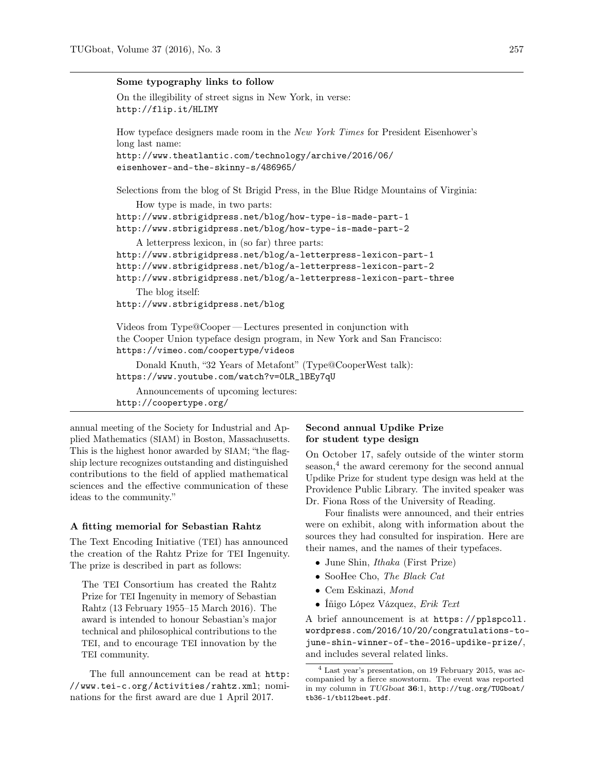### Some typography links to follow

```
On the illegibility of street signs in New York, in verse:
http://flip.it/HLIMY
```
How typeface designers made room in the New York Times for President Eisenhower's long last name:

```
http://www.theatlantic.com/technology/archive/2016/06/
eisenhower-and-the-skinny-s/486965/
```
Selections from the blog of St Brigid Press, in the Blue Ridge Mountains of Virginia:

How type is made, in two parts: http://www.stbrigidpress.net/blog/how-type-is-made-part-1 http://www.stbrigidpress.net/blog/how-type-is-made-part-2 A letterpress lexicon, in (so far) three parts: http://www.stbrigidpress.net/blog/a-letterpress-lexicon-part-1 http://www.stbrigidpress.net/blog/a-letterpress-lexicon-part-2 http://www.stbrigidpress.net/blog/a-letterpress-lexicon-part-three The blog itself: http://www.stbrigidpress.net/blog Videos from Type@Cooper — Lectures presented in conjunction with the Cooper Union typeface design program, in New York and San Francisco: https://vimeo.com/coopertype/videos

Donald Knuth, "32 Years of Metafont" (Type@CooperWest talk): https://www.youtube.com/watch?v=0LR\_lBEy7qU

Announcements of upcoming lectures: http://coopertype.org/

annual meeting of the Society for Industrial and Applied Mathematics (SIAM) in Boston, Massachusetts. This is the highest honor awarded by SIAM; "the flagship lecture recognizes outstanding and distinguished contributions to the field of applied mathematical sciences and the effective communication of these ideas to the community."

### A fitting memorial for Sebastian Rahtz

The Text Encoding Initiative (TEI) has announced the creation of the Rahtz Prize for TEI Ingenuity. The prize is described in part as follows:

The TEI Consortium has created the Rahtz Prize for TEI Ingenuity in memory of Sebastian Rahtz (13 February 1955–15 March 2016). The award is intended to honour Sebastian's major technical and philosophical contributions to the TEI, and to encourage TEI innovation by the TEI community.

The full announcement can be read at http: //www.tei-c.org/Activities/rahtz.xml; nominations for the first award are due 1 April 2017.

# Second annual Updike Prize for student type design

On October 17, safely outside of the winter storm season,<sup>4</sup> the award ceremony for the second annual Updike Prize for student type design was held at the Providence Public Library. The invited speaker was Dr. Fiona Ross of the University of Reading.

Four finalists were announced, and their entries were on exhibit, along with information about the sources they had consulted for inspiration. Here are their names, and the names of their typefaces.

- June Shin, Ithaka (First Prize)
- SooHee Cho, The Black Cat
- Cem Eskinazi, Mond
- Íñigo López Vázquez, Erik Text

A brief announcement is at https://pplspcoll. wordpress.com/2016/10/20/congratulations-tojune-shin-winner-of-the-2016-updike-prize/, and includes several related links.

<sup>4</sup> Last year's presentation, on 19 February 2015, was accompanied by a fierce snowstorm. The event was reported in my column in TUGboat 36:1, http://tug.org/TUGboat/ tb36-1/tb112beet.pdf.